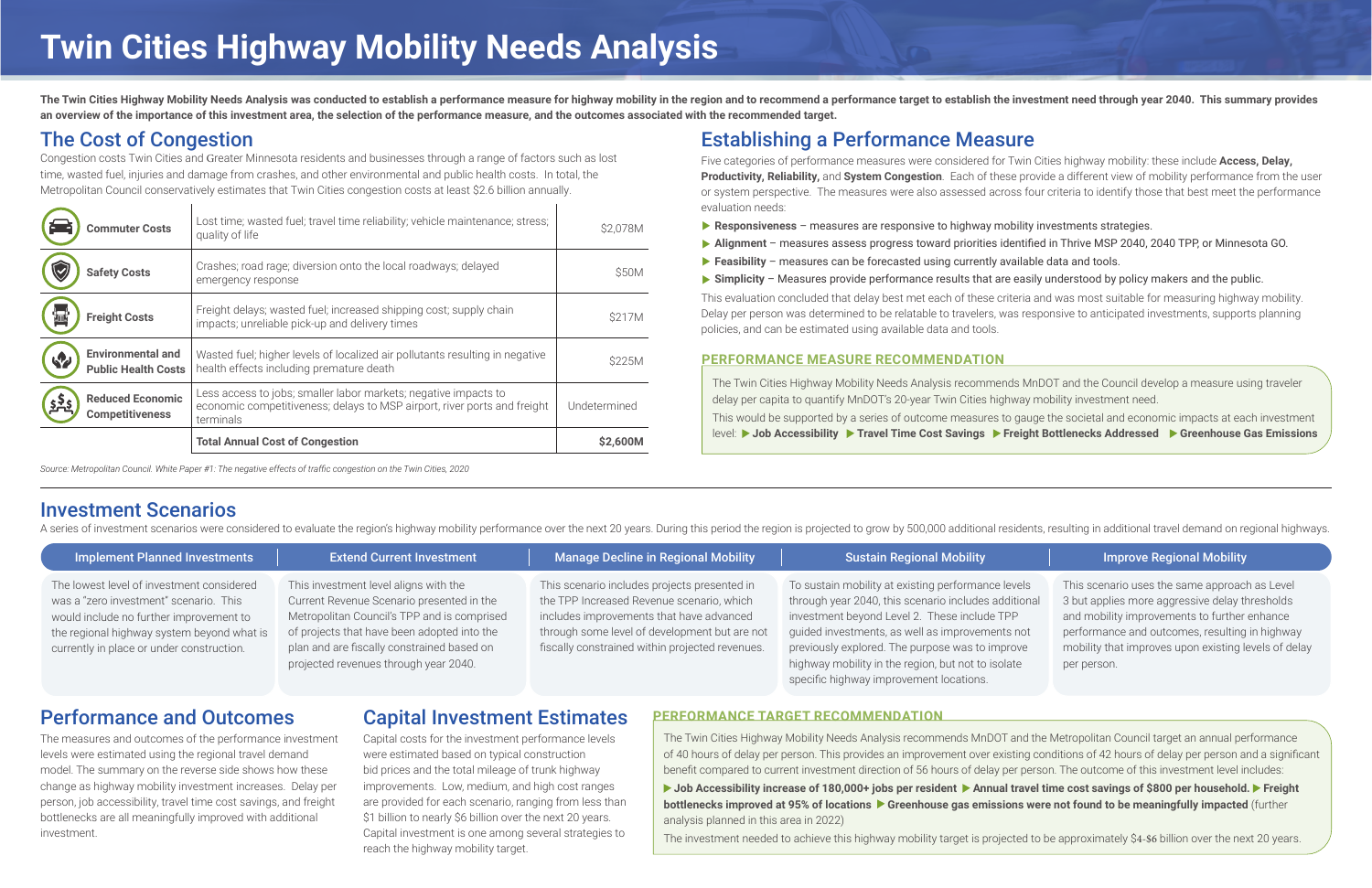The Twin Cities Highway Mobility Needs Analysis was conducted to establish a performance measure for highway mobility in the region and to recommend a performance target to establish the investment need through year 2040. **an overview of the importance of this investment area, the selection of the performance measure, and the outcomes associated with the recommended target.**

# The Cost of Congestion

Congestion costs Twin Cities and Greater Minnesota residents and businesses through a range of factors such as lost time, wasted fuel, injuries and damage from crashes, and other environmental and public health costs. In total, the Metropolitan Council conservatively estimates that Twin Cities congestion costs at least \$2.6 billion annually.

| <b>Commuter Costs</b>                                               | Lost time; wasted fuel; travel time reliability; vehicle maintenance; stress;<br>quality of life                                                         | \$2,078M     |
|---------------------------------------------------------------------|----------------------------------------------------------------------------------------------------------------------------------------------------------|--------------|
| <b>Safety Costs</b>                                                 | Crashes; road rage; diversion onto the local roadways; delayed<br>emergency response                                                                     | \$50M        |
| <b>Freight Costs</b>                                                | Freight delays; wasted fuel; increased shipping cost; supply chain<br>impacts; unreliable pick-up and delivery times                                     | \$217M       |
| <b>Environmental and</b><br><b>KP</b><br><b>Public Health Costs</b> | Wasted fuel; higher levels of localized air pollutants resulting in negative<br>health effects including premature death                                 | \$225M       |
| <b>Reduced Economic</b><br><b>Competitiveness</b>                   | Less access to jobs; smaller labor markets; negative impacts to<br>economic competitiveness; delays to MSP airport, river ports and freight<br>terminals | Undetermined |
|                                                                     | <b>Total Annual Cost of Congestion</b>                                                                                                                   | \$2,600M     |

*Source: Metropolitan Council. White Paper #1: The negative effects of traffic congestion on the Twin Cities, 2020*

# Establishing a Performance Measure

Five categories of performance measures were considered for Twin Cities highway mobility: these include **Access, Delay, Productivity, Reliability,** and **System Congestion**. Each of these provide a different view of mobility performance from the user or system perspective. The measures were also assessed across four criteria to identify those that best meet the performance evaluation needs:

- ‣ **Responsiveness** measures are responsive to highway mobility investments strategies.
- ‣ **Alignment** measures assess progress toward priorities identified in Thrive MSP 2040, 2040 TPP, or Minnesota GO.
- ▶ **Feasibility** measures can be forecasted using currently available data and tools.
- ‣ **Simplicity** Measures provide performance results that are easily understood by policy makers and the public.

▶ Job Accessibility increase of 180,000+ jobs per resident ▶ Annual travel time cost savings of \$800 per household. ▶ Freight **bottlenecks improved at 95% of locations**  $\triangleright$  **Greenhouse gas emissions were not found to be meaningfully impacted** (further analysis planned in this area in 2022)

The investment needed to achieve this highway mobility target is projected to be approximately \$4-\$6 billion over the next 20 years.

### **Improve Regional Mobility**

This evaluation concluded that delay best met each of these criteria and was most suitable for measuring highway mobility. Delay per person was determined to be relatable to travelers, was responsive to anticipated investments, supports planning policies, and can be estimated using available data and tools.

# Investment Scenarios

A series of investment scenarios were considered to evaluate the region's highway mobility performance over the next 20 years. During this period the region is projected to grow by 500,000 additional residents, resulting i

# Performance and Outcomes

The measures and outcomes of the performance investment levels were estimated using the regional travel demand model. The summary on the reverse side shows how these change as highway mobility investment increases. Delay per person, job accessibility, travel time cost savings, and freight bottlenecks are all meaningfully improved with additional investment.

# Capital Investment Estimates

Capital costs for the investment performance levels were estimated based on typical construction bid prices and the total mileage of trunk highway improvements. Low, medium, and high cost ranges are provided for each scenario, ranging from less than \$1 billion to nearly \$6 billion over the next 20 years. Capital investment is one among several strategies to reach the highway mobility target.

The Twin Cities Highway Mobility Needs Analysis recommends MnDOT and the Council develop a measure using traveler delay per capita to quantify MnDOT's 20-year Twin Cities highway mobility investment need. This would be supported by a series of outcome measures to gauge the societal and economic impacts at each investment level: **Job Accessibility Travel Time Cost Savings Freight Bottlenecks Addressed Greenhouse Gas Emissions**

## **PERFORMANCE MEASURE RECOMMENDATION**

The Twin Cities Highway Mobility Needs Analysis recommends MnDOT and the Metropolitan Council target an annual performance of 40 hours of delay per person. This provides an improvement over existing conditions of 42 hours of delay per person and a significant benefit compared to current investment direction of 56 hours of delay per person. The outcome of this investment level includes:

## **PERFORMANCE TARGET RECOMMENDATION**

| <b>Implement Planned Investments</b>                                                                                                                                                                                      | <b>Extend Current Investment</b>                                                                                                                                                                                                                                        | <b>Manage Decline in Regional Mobility</b>                                                                                                                                                                                                | <b>Sustain Regional Mobility</b>                                                                                                                                                                                                                                                                                                                                  |
|---------------------------------------------------------------------------------------------------------------------------------------------------------------------------------------------------------------------------|-------------------------------------------------------------------------------------------------------------------------------------------------------------------------------------------------------------------------------------------------------------------------|-------------------------------------------------------------------------------------------------------------------------------------------------------------------------------------------------------------------------------------------|-------------------------------------------------------------------------------------------------------------------------------------------------------------------------------------------------------------------------------------------------------------------------------------------------------------------------------------------------------------------|
| The lowest level of investment considered<br>was a "zero investment" scenario. This<br>would include no further improvement to<br>the regional highway system beyond what is<br>currently in place or under construction. | This investment level aligns with the<br>Current Revenue Scenario presented in the<br>Metropolitan Council's TPP and is comprised<br>of projects that have been adopted into the<br>plan and are fiscally constrained based on<br>projected revenues through year 2040. | This scenario includes projects presented in<br>the TPP Increased Revenue scenario, which<br>includes improvements that have advanced<br>through some level of development but are not<br>fiscally constrained within projected revenues. | To sustain mobility at existing performance levels<br>through year 2040, this scenario includes additional<br>investment beyond Level 2. These include TPP<br>guided investments, as well as improvements not<br>previously explored. The purpose was to improve<br>highway mobility in the region, but not to isolate<br>specific highway improvement locations. |

This scenario uses the same approach as Level 3 but applies more aggressive delay thresholds and mobility improvements to further enhance performance and outcomes, resulting in highway mobility that improves upon existing levels of delay per person.